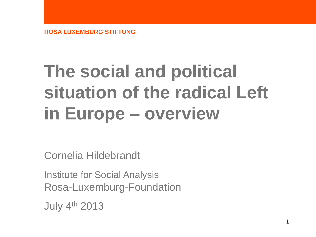# **The social and political situation of the radical Left in Europe – overview**

Cornelia Hildebrandt

Institute for Social Analysis Rosa-Luxemburg-Foundation

July 4th 2013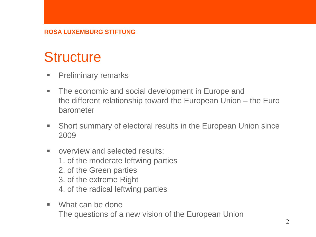# **Structure**

- **Preliminary remarks**
- **The economic and social development in Europe and** the different relationship toward the European Union – the Euro barometer
- **Short summary of electoral results in the European Union since** 2009
- **E** overview and selected results: 1. of the moderate leftwing parties 2. of the Green parties 3. of the extreme Right 4. of the radical leftwing parties
- What can be done The questions of a new vision of the European Union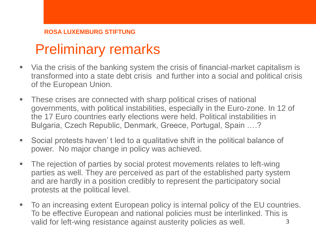# Preliminary remarks

- Via the crisis of the banking system the crisis of financial-market capitalism is transformed into a state debt crisis and further into a social and political crisis of the European Union.
- These crises are connected with sharp political crises of national governments, with political instabilities, especially in the Euro-zone. In 12 of the 17 Euro countries early elections were held. Political instabilities in Bulgaria, Czech Republic, Denmark, Greece, Portugal, Spain ….?
- Social protests haven' t led to a qualitative shift in the political balance of power. No major change in policy was achieved.
- The rejection of parties by social protest movements relates to left-wing parties as well. They are perceived as part of the established party system and are hardly in a position credibly to represent the participatory social protests at the political level.
- To an increasing extent European policy is internal policy of the EU countries. To be effective European and national policies must be interlinked. This is valid for left-wing resistance against austerity policies as well.  $\frac{3}{1}$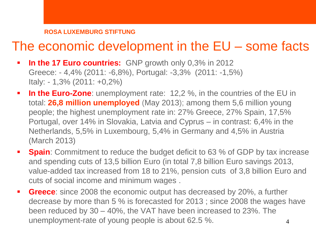### The economic development in the EU – some facts

- **In the 17 Euro countries:** GNP growth only 0,3% in 2012 Greece: - 4,4% (2011: -6,8%), Portugal: -3,3% (2011: -1,5%) Italy: - 1,3% (2011: +0,2%)
- **In the Euro-Zone**: unemployment rate: 12,2 %, in the countries of the EU in total: **26,8 million unemployed** (May 2013); among them 5,6 million young people; the highest unemployment rate in: 27% Greece, 27% Spain, 17,5% Portugal, over 14% in Slovakia, Latvia and Cyprus – in contrast: 6,4% in the Netherlands, 5,5% in Luxembourg, 5,4% in Germany and 4,5% in Austria (March 2013)
- **Spain**: Commitment to reduce the budget deficit to 63 % of GDP by tax increase and spending cuts of 13,5 billion Euro (in total 7,8 billion Euro savings 2013, value-added tax increased from 18 to 21%, pension cuts of 3,8 billion Euro and cuts of social income and minimum wages .
- **Greece**: since 2008 the economic output has decreased by 20%, a further decrease by more than 5 % is forecasted for 2013 ; since 2008 the wages have been reduced by 30 – 40%, the VAT have been increased to 23%. The unemployment-rate of young people is about 62.5 %. 4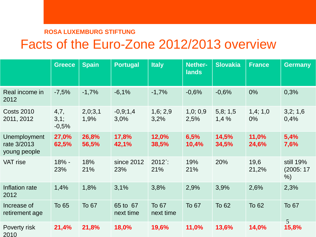# Facts of the Euro-Zone 2012/2013 overview

|                                             | <b>Greece</b>           | <b>Spain</b>    | <b>Portugal</b>       | <b>Italy</b>       | <b>Nether-</b><br><b>lands</b> | <b>Slovakia</b> | <b>France</b>    | <b>Germany</b>              |
|---------------------------------------------|-------------------------|-----------------|-----------------------|--------------------|--------------------------------|-----------------|------------------|-----------------------------|
| Real income in<br>2012                      | $-7,5%$                 | $-1,7%$         | $-6,1%$               | $-1,7%$            | $-0,6%$                        | $-0,6%$         | 0%               | 0,3%                        |
| <b>Costs 2010</b><br>2011, 2012             | 4,7,<br>3,1;<br>$-0,5%$ | 2,0;3,1<br>1,9% | $-0,9;1,4$<br>3,0%    | 1,6; 2,9<br>3,2%   | 1,0;0,9<br>2,5%                | 5,8;1,5<br>1,4% | 1,4;1,0<br>$0\%$ | 3,2;1,6<br>0,4%             |
| Unemployment<br>rate 3/2013<br>young people | 27,0%<br>62,5%          | 26,8%<br>56,5%  | 17,8%<br>42,1%        | 12,0%<br>38,5%     | 6,5%<br>10,4%                  | 14,5%<br>34,5%  | 11,0%<br>24,6%   | 5,4%<br>7,6%                |
| <b>VAT</b> rise                             | 18% -<br>23%            | 18%<br>21%      | since 2012<br>23%     | 2012<br>21%        | 19%<br>21%                     | 20%             | 19,6<br>21,2%    | still 19%<br>(2005:17)<br>% |
| Inflation rate<br>2012                      | 1,4%                    | 1,8%            | 3,1%                  | 3,8%               | 2,9%                           | 3,9%            | 2,6%             | 2,3%                        |
| Increase of<br>retirement age               | To 65                   | To 67           | 65 to 67<br>next time | To 67<br>next time | To 67                          | To 62           | <b>To 62</b>     | To 67<br>$\overline{5}$     |
| Poverty risk<br>2010                        | 21,4%                   | 21,8%           | 18,0%                 | 19,6%              | 11,0%                          | 13,6%           | 14,0%            | 15,8%                       |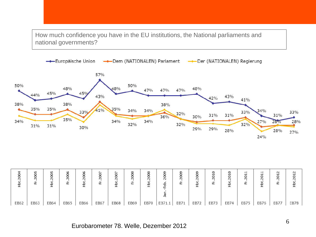How much confidence you have in the EU institutions, the National parliaments and national governments?



| 20<br>운          | $\overline{5}$<br>20<br>亡 | LO <sub>1</sub><br>$\circ$<br>Ō<br>$\sim$ | $\omega$<br>$\circ$<br>$\sim$<br>正 | w<br>N<br>≕ | $\tilde{}$<br>$\sim$ | $\sim$<br>$\sim$ | 8<br>$\sim$ | 8<br>0<br>∘<br>$\sim$ | Ō<br>o<br>$\sim$<br>d<br>− | o.<br>$\sim$<br>亡 | ጣ<br>Ō<br>$\sim$<br>∸<br>₽ | $\circ$<br>201<br>匞 | $\circ$<br>5<br>$\sim$ | ᄇ<br>⊣<br>20<br>屸 | $\overline{\phantom{0}}$<br>∘<br>$\sim$ | $\sim$<br>$\sim$ |             |
|------------------|---------------------------|-------------------------------------------|------------------------------------|-------------|----------------------|------------------|-------------|-----------------------|----------------------------|-------------------|----------------------------|---------------------|------------------------|-------------------|-----------------------------------------|------------------|-------------|
| EB <sub>52</sub> | EB63                      | EB64                                      | EB65                               | EB66        | EB67                 | EB68             | EB69        | EB70                  | EB71.1                     | EB71              | EB72                       | EB73                | EB74                   | EB75              | EB76                                    | EB77             | <b>EB78</b> |

Eurobarometer 78. Welle, Dezember 2012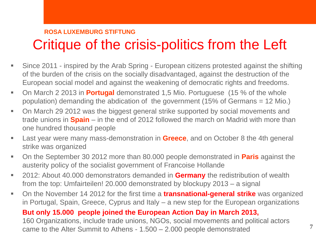# Critique of the crisis-politics from the Left

- Since 2011 inspired by the Arab Spring European citizens protested against the shifting of the burden of the crisis on the socially disadvantaged, against the destruction of the European social model and against the weakening of democratic rights and freedoms.
- On March 2 2013 in **Portugal** demonstrated 1,5 Mio. Portuguese (15 % of the whole population) demanding the abdication of the government (15% of Germans = 12 Mio.)
- On March 29 2012 was the biggest general strike supported by social movements and trade unions in **Spain** – in the end of 2012 followed the march on Madrid with more than one hundred thousand people
- Last year were many mass-demonstration in **Greece**, and on October 8 the 4th general strike was organized
- On the September 30 2012 more than 80.000 people demonstrated in **Paris** against the austerity policy of the socialist government of Francoise Hollande
- 2012: About 40.000 demonstrators demanded in **Germany** the redistribution of wealth from the top: Umfairteilen! 20.000 demonstrated by blockupy 2013 – a signal
- On the November 14 2012 for the first time a **transnational-general strike** was organized in Portugal, Spain, Greece, Cyprus and Italy – a new step for the European organizations

#### **But only 15.000 people joined the European Action Day in March 2013,**

160 Organizations, include trade unions, NGOs, social movements and political actors came to the Alter Summit to Athens -  $1.500 - 2.000$  people demonstrated  $7$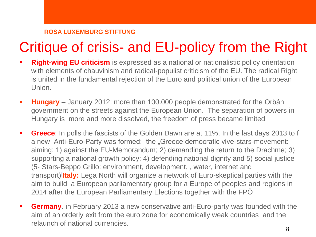# Critique of crisis- and EU-policy from the Right

- **Right-wing EU criticism** is expressed as a national or nationalistic policy orientation with elements of chauvinism and radical-populist criticism of the EU. The radical Right is united in the fundamental rejection of the Euro and political union of the European Union.
- **Hungary**  January 2012: more than 100.000 people demonstrated for the Orbán government on the streets against the European Union. The separation of powers in Hungary is more and more dissolved, the freedom of press became limited
- **Greece**: In polls the fascists of the Golden Dawn are at 11%. In the last days 2013 to f a new Anti-Euro-Party was formed: the "Greece democratic vive-stars-movement: aiming: 1) against the EU-Memorandum; 2) demanding the return to the Drachme; 3) supporting a national growth policy; 4) defending national dignity and 5) social justice (5- Stars-Beppo Grillo: environment, development, , water, internet and transport)<sup>[\[](http://de.wikipedia.org/wiki/MoVimento_5_Stelle)</sup>Italy: Lega North will organize a network of Euro-skeptical parties with the aim to build a European parliamentary group for a Europe of peoples and regions in 2014 after the European Parliamentary Elections together with the FPÖ
- **Germany**. in February 2013 a new conservative anti-Euro-party was founded with the aim of an orderly exit from the euro zone for economically weak countries and the relaunch of national currencies.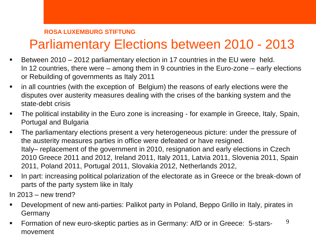# Parliamentary Elections between 2010 - 2013

- Between 2010 2012 parliamentary election in 17 countries in the EU were held. In 12 countries, there were – among them in 9 countries in the Euro-zone – early elections or Rebuilding of governments as Italy 2011
- in all countries (with the exception of Belgium) the reasons of early elections were the disputes over austerity measures dealing with the crises of the banking system and the state-debt crisis
- The political instability in the Euro zone is increasing for example in Greece, Italy, Spain, Portugal and Bulgaria
- The parliamentary elections present a very heterogeneous picture: under the pressure of the austerity measures parties in office were defeated or have resigned. Italy– replacement of the government in 2010, resignation and early elections in Czech 2010 Greece 2011 and 2012, Ireland 2011, Italy 2011, Latvia 2011, Slovenia 2011, Spain 2011, Poland 2011, Portugal 2011, Slovakia 2012, Netherlands 2012,
- In part: increasing political polarization of the electorate as in Greece or the break-down of parts of the party system like in Italy

In 2013 – new trend?

- Development of new anti-parties: Palikot party in Poland, Beppo Grillo in Italy, pirates in **Germany**
- Formation of new euro-skeptic parties as in Germany: AfD or in Greece: 5-starsmovement 9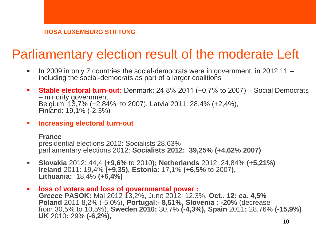# Parliamentary election result of the moderate Left

- In 2009 in only 7 countries the social-democrats were in government, in 2012 11 including the social-democrats as part of a larger coalitions
- **Stable electoral turn-out:** Denmark: 24,8% 2011 (−0,7% to 2007) Social Democrats – minority government, Belgium: 13,7% (+2,84% to 2007), Latvia 2011: 28,4% (+2,4%), Finland: 19,1% (-2,3%)
- **Increasing electoral turn-out**

**France** presidential elections 2012: Socialists 28,63% parliamentary elections 2012: **Socialists 2012: 39,25% (+4,62% 2007)**

- **Slovakia** 2012: 44,4 **(+9,6%** to 2010**); Netherlands** 2012: 24,84% **(+5,21%) Ireland** 2011**:** 19,4% **(+9,35), Estonia:** 17,1% **(+6,5%** to 2007**), Lithuania:** 18,4% **(+6,4%)**
- **loss of voters and loss of governmental power : Greece PASOK:** Mai 2012 13,2%, June 2012: 12,3%, **Oct.. 12: ca. 4,5% Poland** 2011 8,2% (-5,0%), **Portugal:- 8,51%, Slovenia : -20%** (decrease from 30,5% to 10,5%), **Sweden 2010:** 30,7% **(-4,3%), Spain** 2011**:** 28,76% **(-15,9%) UK** 2010**:** 29% **(-6,2%),**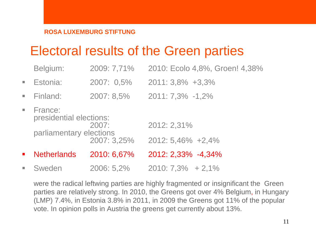# Electoral results of the Green parties

|                             | Belgium:                           | 2009: 7,71% | 2010: Ecolo 4,8%, Groen! 4,38% |
|-----------------------------|------------------------------------|-------------|--------------------------------|
| $\Box$                      | Estonia:                           | 2007: 0,5%  | 2011: 3,8% +3,3%               |
| $\overline{\phantom{a}}$    | Finland:                           | 2007: 8,5%  | 2011: 7,3% -1,2%               |
| $\mathcal{L}_{\mathcal{A}}$ | France:<br>presidential elections: |             |                                |
|                             | parliamentary elections            | 2007:       | 2012: 2,31%                    |
|                             |                                    | 2007: 3,25% | 2012: 5,46% +2,4%              |
| $\blacksquare$              | <b>Netherlands</b>                 | 2010: 6,67% | 2012: 2,33% -4,34%             |
| $\blacksquare$              | Sweden                             | 2006: 5,2%  | $2010:7,3\% + 2,1\%$           |

were the radical leftwing parties are highly fragmented or insignificant the Green parties are relatively strong. In 2010, the Greens got over 4% Belgium, in Hungary (LMP) 7.4%, in Estonia 3.8% in 2011, in 2009 the Greens got 11% of the popular vote. In opinion polls in Austria the greens get currently about 13%.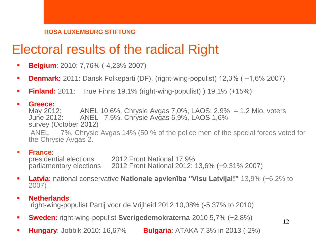# Electoral results of the radical Right

- **Belgium**: 2010: 7,76% (-4,23% 2007)
- **Denmark:** 2011: Dansk Folkeparti (DF), (right-wing-populist) 12,3% ( −1,6% 2007)
- **Finland:** 2011: True Finns 19,1% (right-wing-populist) ) 19,1% (+15%)
- 

**Greece:**<br>May 2012: May 2012: ANEL 10,6%, Chrysie Avgas 7,0%, LAOS: 2,9% = 1,2 Mio. voters<br>June 2012: ANEL 7.5%. Chrysie Avgas 6.9%. LAOS 1.6% ANEL 7,5%, Chrysie Avgas 6,9%, LAOS 1,6% survey (October 2012) ANEL 7%, Chrysie Avgas 14% (50 % of the police men of the special forces voted for the Chrysie Avgas 2.

#### **France**:

presidential elections 2012 Front National 17,9%<br>parliamentary elections 2012 Front National 2012: parliamentary elections 2012 Front National 2012: 13,6% (+9,31% 2007)

 **Latvia**: national conservative **Nationale apvienība "Visu Latvijai!"** 13,9% (+6,2% to 2007)

12

#### **Netherlands**: right-wing-populist Partij voor de Vrijheid 2012 10,08% (-5,37% to 2010)

- **Sweden:** right-wing-populist **Sverigedemokraterna** 2010 5,7% (+2,8%)
- **Hungary**: Jobbik 2010: 16,67% **Bulgaria**: ATAKA 7,3% in 2013 (-2%)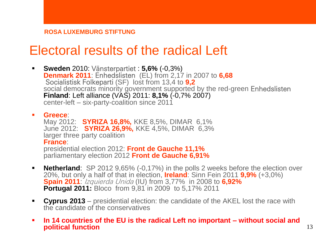### Electoral results of the radical Left

 **Sweden** 2010: Vänsterpartiet : **5,6%** (-0,3%) **Denmark 2011**: Enhedslisten (EL) from 2,17 in 2007 to **6,68**  Socialistisk Folkeparti (SF) lost from 13,4 to **9,2** social democrats minority government supported by the red-green Enhedslisten **Finland**: Left alliance (VAS) 2011: **8,1%** (-0,7% 2007) center-left – six-party-coalition since 2011

#### **Greece**:

May 2012: **SYRIZA 16,8%,** KKE 8,5%, DIMAR 6,1% June 2012: **SYRIZA 26,9%,** KKE 4,5%, DIMAR 6,3% larger three party coalition **France**:

presidential election 2012: **Front de Gauche 11,1%** parliamentary election 2012 **Front de Gauche 6,91%**

- **Netherland:** SP 2012 9,65% (-0,17%) in the polls 2 weeks before the election over 20%, but only a half of that in election, **Ireland**: Sinn Fein 2011 **9,9%** (+3,0%) **Spain 2011**: Izquierda Unida (IU) from 3,77% in 2008 to **6,92% Portugal 2011:** Bloco from 9,81 in 2009 to 5,17% 2011
- **Cyprus 2013**  presidential election: the candidate of the AKEL lost the race with the candidate of the conservatives
- **In 14 countries of the EU is the radical Left no important – without social and political function** 13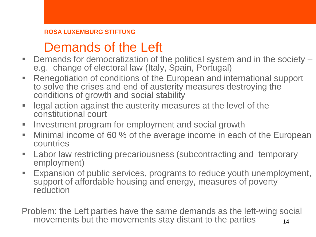# Demands of the Left

- Demands for democratization of the political system and in the society e.g. change of electoral law (Italy, Spain, Portugal)
- Renegotiation of conditions of the European and international support to solve the crises and end of austerity measures destroying the conditions of growth and social stability
- **Example 2** legal action against the austerity measures at the level of the constitutional court
- **Investment program for employment and social growth**
- **Minimal income of 60 % of the average income in each of the European** countries
- **EXECT** Labor law restricting precariousness (subcontracting and temporary employment)
- **Expansion of public services, programs to reduce youth unemployment,** support of affordable housing and energy, measures of poverty reduction

Problem: the Left parties have the same demands as the left-wing social movements but the movements stay distant to the parties  $\overline{\phantom{a}}_{14}$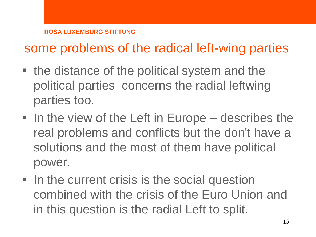# some problems of the radical left-wing parties

- the distance of the political system and the political parties concerns the radial leftwing parties too.
- $\blacksquare$  In the view of the Left in Europe describes the real problems and conflicts but the don't have a solutions and the most of them have political power.
- In the current crisis is the social question combined with the crisis of the Euro Union and in this question is the radial Left to split.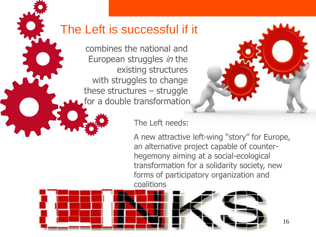### The Left is successful if it

combines the national and European struggles *in* the existing structures with struggles to change these structures – struggle for a double transformation



#### The Left needs:

A new attractive left-wing "story" for Europe, an alternative project capable of counterhegemony aiming at a social-ecological transformation for a solidarity society, new forms of participatory organization and coalitions

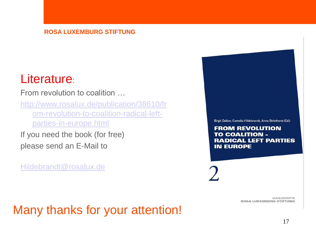### Literature:

From revolution to coalition …

[http://www.rosalux.de/publication/38610/fr](http://www.rosalux.de/publication/38610/from-revolution-to-coalition-radical-left-parties-in-europe.html) [om-revolution-to-coalition-radical-left](http://www.rosalux.de/publication/38610/from-revolution-to-coalition-radical-left-parties-in-europe.html)[parties-in-europe.html](http://www.rosalux.de/publication/38610/from-revolution-to-coalition-radical-left-parties-in-europe.html)

If you need the book (for free) please send an E-Mail to

[Hildebrandt@rosalux.de](mailto:Hildebrandt@rosalux.de)

Birgit Daiber, Cornelia Hildebrandt, Anna Striethorst (Ed.)

**FROM REVOLUTION TO COALITION -RADICAL LEFT PARTIES IN EUROPE** 

> **MANUSKRIPTE ROSA LUXEMBURG STIFTUNG**

### Many thanks for your attention!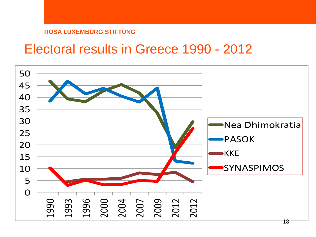### Electoral results in Greece 1990 - 2012

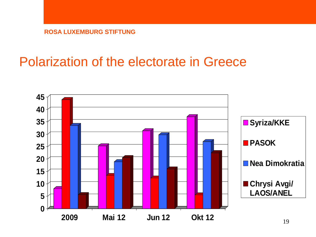### Polarization of the electorate in Greece

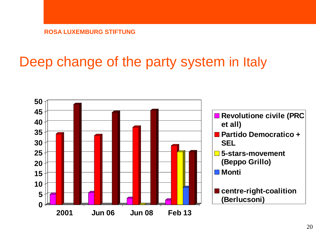# Deep change of the party system in Italy